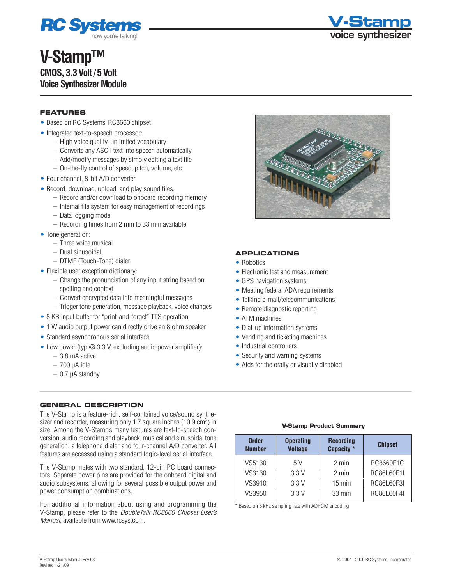

## **V-Stamp™ CMOS, 3.3 Volt / 5 Volt Voice Synthesizer Module**



#### **Features**

- Based on RC Systems' RC8660 chipset
- Integrated text-to-speech processor:
	- High voice quality, unlimited vocabulary
	- Converts any ASCII text into speech automatically
	- Add/modify messages by simply editing a text file
	- On-the-fly control of speed, pitch, volume, etc.
- Four channel, 8-bit A/D converter
- Record, download, upload, and play sound files:
	- Record and/or download to onboard recording memory
	- Internal file system for easy management of recordings
	- Data logging mode
	- Recording times from 2 min to 33 min available
- Tone generation:
	- Three voice musical
	- Dual sinusoidal
	- DTMF (Touch-Tone) dialer
- Flexible user exception dictionary:
	- Change the pronunciation of any input string based on spelling and context
	- Convert encrypted data into meaningful messages
	- Trigger tone generation, message playback, voice changes
- 8 KB input buffer for "print-and-forget" TTS operation
- 1 W audio output power can directly drive an 8 ohm speaker
- Standard asynchronous serial interface
- Low power (typ  $\oslash$  3.3 V, excluding audio power amplifier):
	- 3.8 mA active
	- 700 µA idle
	- $-0.7$   $\mu$ A standby

#### **General Description**

The V-Stamp is a feature-rich, self-contained voice/sound synthesizer and recorder, measuring only 1.7 square inches (10.9 cm<sup>2</sup>) in size. Among the V-Stamp's many features are text-to-speech conversion, audio recording and playback, musical and sinusoidal tone generation, a telephone dialer and four-channel A/D converter. All features are accessed using a standard logic-level serial interface.

The V-Stamp mates with two standard, 12-pin PC board connectors. Separate power pins are provided for the onboard digital and audio subsystems, allowing for several possible output power and power consumption combinations.

For additional information about using and programming the V-Stamp, please refer to the *DoubleTalk RC8660 Chipset User's Manual*, available from [www.rcsys.com.](http://www.rcsys.com)



#### **Applications**

- Robotics
- Electronic test and measurement
- GPS navigation systems
- Meeting federal ADA requirements
- Talking e-mail/telecommunications
- Remote diagnostic reporting
- ATM machines
- Dial-up information systems
- Vending and ticketing machines
- Industrial controllers
- Security and warning systems
- Aids for the orally or visually disabled

#### **V-Stamp Product Summary**

| <b>Order</b><br><b>Number</b> | <b>Operating</b><br><b>Voltage</b> | <b>Recording</b><br>Capacity * | <b>Chipset</b> |
|-------------------------------|------------------------------------|--------------------------------|----------------|
| VS5130                        | 5 V                                | 2 min                          | RC8660F1C      |
| VS3130                        | 3.3V                               | $2 \text{ min}$                | RC86L60F1I     |
| VS3910                        | 3.3V                               | $15 \text{ min}$               | RC86L60F3I     |
| VS3950                        | 3.3V                               | 33 min                         | RC86L60F4I     |

\* Based on 8 kHz sampling rate with ADPCM encoding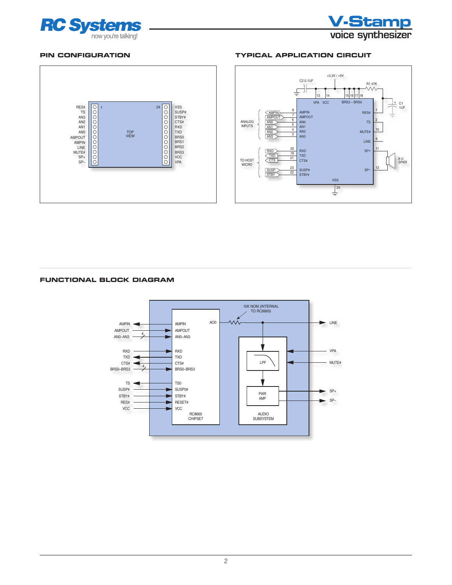



#### **Pin Configuration**



#### **Typical Application Circuit**



#### **Functional Block Diagram**

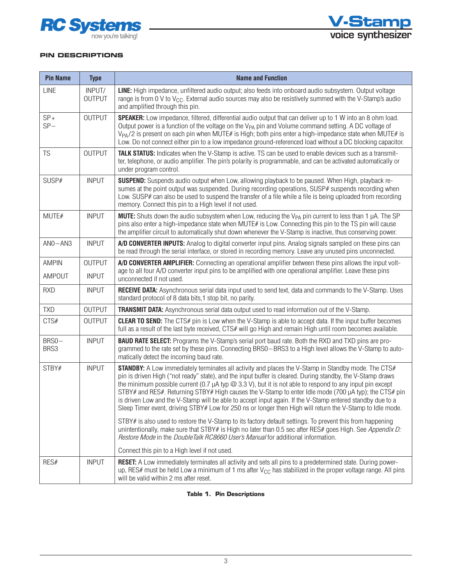



#### **Pin Descriptions**

| <b>Pin Name</b> | <b>Type</b>             | <b>Name and Function</b>                                                                                                                                                                                                                                                                                                                                                                                                                                                                                                                                                                                                                                                             |  |  |  |  |  |  |
|-----------------|-------------------------|--------------------------------------------------------------------------------------------------------------------------------------------------------------------------------------------------------------------------------------------------------------------------------------------------------------------------------------------------------------------------------------------------------------------------------------------------------------------------------------------------------------------------------------------------------------------------------------------------------------------------------------------------------------------------------------|--|--|--|--|--|--|
| <b>LINE</b>     | INPUT/<br><b>OUTPUT</b> | LINE: High impedance, unfiltered audio output; also feeds into onboard audio subsystem. Output voltage<br>range is from 0 V to V <sub>CC</sub> . External audio sources may also be resistively summed with the V-Stamp's audio<br>and amplified through this pin.                                                                                                                                                                                                                                                                                                                                                                                                                   |  |  |  |  |  |  |
| $SP+$<br>$SP-$  | <b>OUTPUT</b>           | <b>SPEAKER:</b> Low impedance, filtered, differential audio output that can deliver up to 1 W into an 8 ohm load.<br>Output power is a function of the voltage on the V <sub>PA</sub> pin and Volume command setting. A DC voltage of<br>V <sub>PA</sub> /2 is present on each pin when MUTE# is High; both pins enter a high-impedance state when MUTE# is<br>Low. Do not connect either pin to a low impedance ground-referenced load without a DC blocking capacitor.                                                                                                                                                                                                             |  |  |  |  |  |  |
| TS              | <b>OUTPUT</b>           | TALK STATUS: Indicates when the V-Stamp is active. TS can be used to enable devices such as a transmit-<br>ter, telephone, or audio amplifier. The pin's polarity is programmable, and can be activated automatically or<br>under program control.                                                                                                                                                                                                                                                                                                                                                                                                                                   |  |  |  |  |  |  |
| SUSP#           | <b>INPUT</b>            | SUSPEND: Suspends audio output when Low, allowing playback to be paused. When High, playback re-<br>sumes at the point output was suspended. During recording operations, SUSP# suspends recording when<br>Low. SUSP# can also be used to suspend the transfer of a file while a file is being uploaded from recording<br>memory. Connect this pin to a High level if not used.                                                                                                                                                                                                                                                                                                      |  |  |  |  |  |  |
| MUTE#           | <b>INPUT</b>            | <b>MUTE:</b> Shuts down the audio subsystem when Low, reducing the V <sub>PA</sub> pin current to less than 1 $\mu$ A. The SP<br>pins also enter a high-impedance state when MUTE# is Low. Connecting this pin to the TS pin will cause<br>the amplifier circuit to automatically shut down whenever the V-Stamp is inactive, thus conserving power.                                                                                                                                                                                                                                                                                                                                 |  |  |  |  |  |  |
| $ANO-ANS$       | <b>INPUT</b>            | A/D CONVERTER INPUTS: Analog to digital converter input pins. Analog signals sampled on these pins can<br>be read through the serial interface, or stored in recording memory. Leave any unused pins unconnected.                                                                                                                                                                                                                                                                                                                                                                                                                                                                    |  |  |  |  |  |  |
| <b>AMPIN</b>    | <b>OUTPUT</b>           | A/D CONVERTER AMPLIFIER: Connecting an operational amplifier between these pins allows the input volt-                                                                                                                                                                                                                                                                                                                                                                                                                                                                                                                                                                               |  |  |  |  |  |  |
| AMPOUT          | <b>INPUT</b>            | age to all four A/D converter input pins to be amplified with one operational amplifier. Leave these pins<br>unconnected if not used.                                                                                                                                                                                                                                                                                                                                                                                                                                                                                                                                                |  |  |  |  |  |  |
| <b>RXD</b>      | <b>INPUT</b>            | RECEIVE DATA: Asynchronous serial data input used to send text, data and commands to the V-Stamp. Uses<br>standard protocol of 8 data bits, 1 stop bit, no parity.                                                                                                                                                                                                                                                                                                                                                                                                                                                                                                                   |  |  |  |  |  |  |
| <b>TXD</b>      | <b>OUTPUT</b>           | <b>TRANSMIT DATA:</b> Asynchronous serial data output used to read information out of the V-Stamp.                                                                                                                                                                                                                                                                                                                                                                                                                                                                                                                                                                                   |  |  |  |  |  |  |
| CTS#            | <b>OUTPUT</b>           | <b>CLEAR TO SEND:</b> The CTS# pin is Low when the V-Stamp is able to accept data. If the input buffer becomes<br>full as a result of the last byte received, CTS# will go High and remain High until room becomes available.                                                                                                                                                                                                                                                                                                                                                                                                                                                        |  |  |  |  |  |  |
| BRS0-<br>BRS3   | <b>INPUT</b>            | <b>BAUD RATE SELECT:</b> Programs the V-Stamp's serial port baud rate. Both the RXD and TXD pins are pro-<br>grammed to the rate set by these pins. Connecting BRS0-BRS3 to a High level allows the V-Stamp to auto-<br>matically detect the incoming baud rate.                                                                                                                                                                                                                                                                                                                                                                                                                     |  |  |  |  |  |  |
| STBY#           | <b>INPUT</b>            | <b>STANDBY:</b> A Low immediately terminates all activity and places the V-Stamp in Standby mode. The CTS#<br>pin is driven High ("not ready" state), and the input buffer is cleared. During standby, the V-Stamp draws<br>the minimum possible current (0.7 $\mu$ A typ $\oslash$ 3.3 V), but it is not able to respond to any input pin except<br>STBY# and RES#. Returning STBY# High causes the V-Stamp to enter Idle mode (700 µA typ); the CTS# pin<br>is driven Low and the V-Stamp will be able to accept input again. If the V-Stamp entered standby due to a<br>Sleep Timer event, driving STBY# Low for 250 ns or longer then High will return the V-Stamp to Idle mode. |  |  |  |  |  |  |
|                 |                         | STBY# is also used to restore the V-Stamp to its factory default settings. To prevent this from happening<br>unintentionally, make sure that STBY# is High no later than 0.5 sec after RES# goes High. See Appendix D:<br>Restore Mode in the DoubleTalk RC8660 User's Manual for additional information.                                                                                                                                                                                                                                                                                                                                                                            |  |  |  |  |  |  |
|                 |                         | Connect this pin to a High level if not used.                                                                                                                                                                                                                                                                                                                                                                                                                                                                                                                                                                                                                                        |  |  |  |  |  |  |
| RES#            | <b>INPUT</b>            | <b>RESET:</b> A Low immediately terminates all activity and sets all pins to a predetermined state. During power-<br>up, RES# must be held Low a minimum of 1 ms after $V_{CG}$ has stabilized in the proper voltage range. All pins<br>will be valid within 2 ms after reset.                                                                                                                                                                                                                                                                                                                                                                                                       |  |  |  |  |  |  |

#### **Table 1. Pin Descriptions**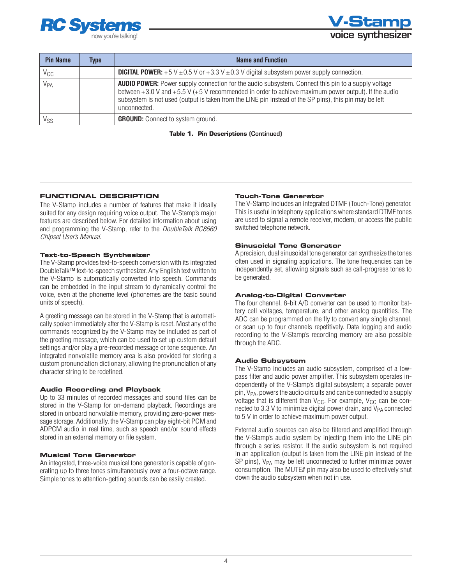

**V-Stamp**

| <b>Pin Name</b> | Type | Name and Function                                                                                                                                                                                                                                                                                                                                 |
|-----------------|------|---------------------------------------------------------------------------------------------------------------------------------------------------------------------------------------------------------------------------------------------------------------------------------------------------------------------------------------------------|
| $\rm V_{CC}$    |      | <b>DIGITAL POWER:</b> +5 V $\pm$ 0.5 V or +3.3 V $\pm$ 0.3 V digital subsystem power supply connection.                                                                                                                                                                                                                                           |
| $V_{PA}$        |      | <b>AUDIO POWER:</b> Power supply connection for the audio subsystem. Connect this pin to a supply voltage<br>between $+3.0$ V and $+5.5$ V ( $+5$ V recommended in order to achieve maximum power output). If the audio<br>subsystem is not used (output is taken from the LINE pin instead of the SP pins), this pin may be left<br>unconnected. |
| V <sub>SS</sub> |      | <b>GROUND:</b> Connect to system ground.                                                                                                                                                                                                                                                                                                          |

**Table 1. Pin Descriptions** (Continued)

#### **Functional Description**

The V-Stamp includes a number of features that make it ideally suited for any design requiring voice output. The V-Stamp's major features are described below. For detailed information about using and programming the V-Stamp, refer to the *DoubleTalk RC8660 Chipset User's Manual*.

#### **Text-to-Speech Synthesizer**

The V-Stamp provides text-to-speech conversion with its integrated DoubleTalk™ text-to-speech synthesizer. Any English text written to the V-Stamp is automatically converted into speech. Commands can be embedded in the input stream to dynamically control the voice, even at the phoneme level (phonemes are the basic sound units of speech).

A greeting message can be stored in the V-Stamp that is automatically spoken immediately after the V-Stamp is reset. Most any of the commands recognized by the V-Stamp may be included as part of the greeting message, which can be used to set up custom default settings and/or play a pre-recorded message or tone sequence. An integrated nonvolatile memory area is also provided for storing a custom pronunciation dictionary, allowing the pronunciation of any character string to be redefined.

#### **Audio Recording and Playback**

Up to 33 minutes of recorded messages and sound files can be stored in the V-Stamp for on-demand playback. Recordings are stored in onboard nonvolatile memory, providing zero-power message storage. Additionally, the V-Stamp can play eight-bit PCM and ADPCM audio in real time, such as speech and/or sound effects stored in an external memory or file system.

#### **Musical Tone Generator**

An integrated, three-voice musical tone generator is capable of generating up to three tones simultaneously over a four-octave range. Simple tones to attention-getting sounds can be easily created.

#### **Touch-Tone Generator**

The V-Stamp includes an integrated DTMF (Touch-Tone) generator. This is useful in telephony applications where standard DTMF tones are used to signal a remote receiver, modem, or access the public switched telephone network.

#### **Sinusoidal Tone Generator**

A precision, dual sinusoidal tone generator can synthesize the tones often used in signaling applications. The tone frequencies can be independently set, allowing signals such as call-progress tones to be generated.

#### **Analog-to-Digital Converter**

The four channel, 8-bit A/D converter can be used to monitor battery cell voltages, temperature, and other analog quantities. The ADC can be programmed on the fly to convert any single channel, or scan up to four channels repetitively. Data logging and audio recording to the V-Stamp's recording memory are also possible through the ADC.

#### **Audio Subsystem**

The V-Stamp includes an audio subsystem, comprised of a lowpass filter and audio power amplifier. This subsystem operates independently of the V-Stamp's digital subsystem; a separate power pin,  $V_{PA}$ , powers the audio circuits and can be connected to a supply voltage that is different than  $V_{CC}$ . For example,  $V_{CC}$  can be connected to 3.3 V to minimize digital power drain, and  $V_{PA}$  connected to 5 V in order to achieve maximum power output.

External audio sources can also be filtered and amplified through the V-Stamp's audio system by injecting them into the LINE pin through a series resistor. If the audio subsystem is not required in an application (output is taken from the LINE pin instead of the  $SP$  pins),  $V_{PA}$  may be left unconnected to further minimize power consumption. The MUTE# pin may also be used to effectively shut down the audio subsystem when not in use.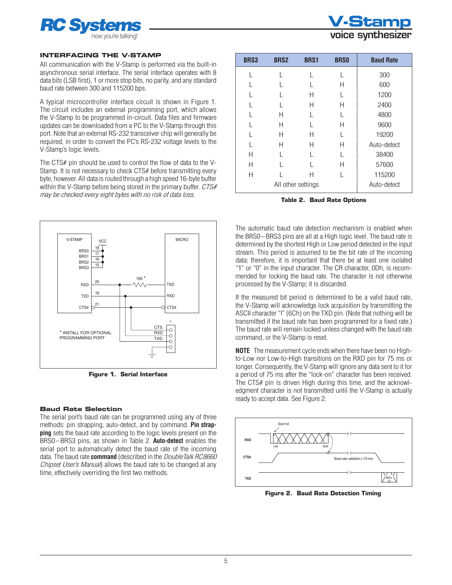

#### **Interfacing the V-Stamp**

All communication with the V-Stamp is performed via the built-in asynchronous serial interface. The serial interface operates with 8 data bits (LSB first), 1 or more stop bits, no parity, and any standard baud rate between 300 and 115200 bps.

A typical microcontroller interface circuit is shown in Figure 1. The circuit includes an external programming port, which allows the V-Stamp to be programmed in-circuit. Data files and firmware updates can be downloaded from a PC to the V-Stamp through this port. Note that an external RS-232 transceiver chip will generally be required, in order to convert the PC's RS-232 voltage levels to the V-Stamp's logic levels.

The CTS# pin should be used to control the flow of data to the V-Stamp. It is not necessary to check CTS# before transmitting every byte, however. All data is routed through a high speed 16-byte buffer within the V-Stamp before being stored in the primary buffer. *CTS# may be checked every eight bytes with no risk of data loss.*



**Figure 1. Serial Interface**

#### **Baud Rate Selection**

The serial port's baud rate can be programmed using any of three methods: pin strapping, auto-detect, and by command. **Pin strapping** sets the baud rate according to the logic levels present on the BRS0–BRS3 pins, as shown in Table 2. **Auto-detect** enables the serial port to automatically detect the baud rate of the incoming data. The baud rate **command** (described in the *DoubleTalk RC8660 Chipset User's Manual*) allows the baud rate to be changed at any time, effectively overriding the first two methods.



| <b>BRS3</b> | <b>BRS2</b>        | <b>BRS1</b> | <b>BRSO</b> | <b>Baud Rate</b> |
|-------------|--------------------|-------------|-------------|------------------|
|             |                    |             | L           | 300              |
|             |                    |             | Н           | 600              |
|             |                    | Н           |             | 1200             |
|             |                    | Н           | Н           | 2400             |
|             | Н                  |             |             | 4800             |
|             | Н                  |             | Н           | 9600             |
|             | Н                  | Н           | L           | 19200            |
|             | Н                  | Н           | Н           | Auto-detect      |
| Н           |                    |             |             | 38400            |
| Н           |                    |             | Н           | 57600            |
| Н           |                    | Н           |             | 115200           |
|             | All other settings | Auto-detect |             |                  |

**Table 2. Baud Rate Options**

The automatic baud rate detection mechanism is enabled when the BRS0–BRS3 pins are all at a High logic level. The baud rate is determined by the shortest High or Low period detected in the input stream. This period is assumed to be the bit rate of the incoming data; therefore, it is important that there be at least one isolated "1" or "0" in the input character. The CR character, 0Dh, is recommended for locking the baud rate. The character is not otherwise processed by the V-Stamp; it is discarded.

If the measured bit period is determined to be a valid baud rate, the V-Stamp will acknowledge lock acquisition by transmitting the ASCII character "l" (6Ch) on the TXD pin. (Note that nothing will be transmitted if the baud rate has been programmed for a fixed rate.) The baud rate will remain locked unless changed with the baud rate command, or the V-Stamp is reset.

**NOTE** The measurement cycle ends when there have been no Highto-Low nor Low-to-High transitions on the RXD pin for 75 ms or longer. Consequently, the V-Stamp will ignore any data sent to it for a period of 75 ms after the "lock-on" character has been received. The CTS# pin is driven High during this time, and the acknowledgment character is not transmitted until the V-Stamp is actually ready to accept data. See Figure 2.



**Figure 2. Baud Rate Detection Timing**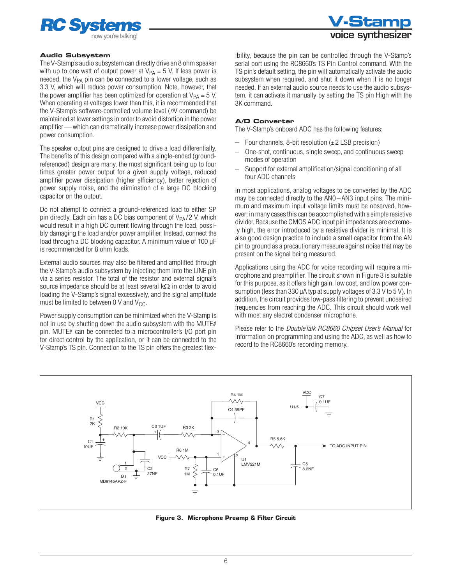



#### **Audio Subsystem**

The V-Stamp's audio subsystem can directly drive an 8 ohm speaker with up to one watt of output power at  $V_{PA} = 5$  V. If less power is needed, the  $V_{PA}$  pin can be connected to a lower voltage, such as 3.3 V, which will reduce power consumption. Note, however, that the power amplifier has been optimized for operation at  $V_{PA} = 5$  V. When operating at voltages lower than this, it is recommended that the V-Stamp's software-controlled volume level (*n*V command) be maintained at lower settings in order to avoid distortion in the power amplifier—which can dramatically increase power dissipation and power consumption.

The speaker output pins are designed to drive a load differentially. The benefits of this design compared with a single-ended (groundreferenced) design are many, the most significant being up to four times greater power output for a given supply voltage, reduced amplifier power dissipation (higher efficiency), better rejection of power supply noise, and the elimination of a large DC blocking capacitor on the output.

Do not attempt to connect a ground-referenced load to either SP pin directly. Each pin has a DC bias component of  $V_{PA}/2$  V, which would result in a high DC current flowing through the load, possibly damaging the load and/or power amplifier. Instead, connect the load through a DC blocking capacitor. A minimum value of 100 µF is recommended for 8 ohm loads.

External audio sources may also be filtered and amplified through the V-Stamp's audio subsystem by injecting them into the LINE pin via a series resistor. The total of the resistor and external signal's source impedance should be at least several  $k\Omega$  in order to avoid loading the V-Stamp's signal excessively, and the signal amplitude must be limited to between  $0 \vee$  and  $V_{CC}$ .

Power supply consumption can be minimized when the V-Stamp is not in use by shutting down the audio subsystem with the MUTE# pin. MUTE# can be connected to a microcontroller's I/O port pin for direct control by the application, or it can be connected to the V-Stamp's TS pin. Connection to the TS pin offers the greatest flexibility, because the pin can be controlled through the V-Stamp's serial port using the RC8660's TS Pin Control command. With the TS pin's default setting, the pin will automatically activate the audio subsystem when required, and shut it down when it is no longer needed. If an external audio source needs to use the audio subsystem, it can activate it manually by setting the TS pin High with the 3K command.

#### **A/D Converter**

The V-Stamp's onboard ADC has the following features:

- Four channels, 8-bit resolution  $(\pm 2$  LSB precision)
- One-shot, continuous, single sweep, and continuous sweep modes of operation
- Support for external amplification/signal conditioning of all four ADC channels

In most applications, analog voltages to be converted by the ADC may be connected directly to the AN0–AN3 input pins. The minimum and maximum input voltage limits must be observed, however; in many cases this can be accomplished with a simple resistive divider. Because the CMOS ADC input pin impedances are extremely high, the error introduced by a resistive divider is minimal. It is also good design practice to include a small capacitor from the AN pin to ground as a precautionary measure against noise that may be present on the signal being measured.

Applications using the ADC for voice recording will require a microphone and preamplifier. The circuit shown in Figure 3 is suitable for this purpose, as it offers high gain, low cost, and low power consumption (less than 330  $\mu$ A typ at supply voltages of 3.3 V to 5 V). In addition, the circuit provides low-pass filtering to prevent undesired frequencies from reaching the ADC. This circuit should work well with most any electret condenser microphone.

Please refer to the *DoubleTalk RC8660 Chipset User's Manual* for information on programming and using the ADC, as well as how to record to the RC8660's recording memory.



**Figure 3. Microphone Preamp & Filter Circuit**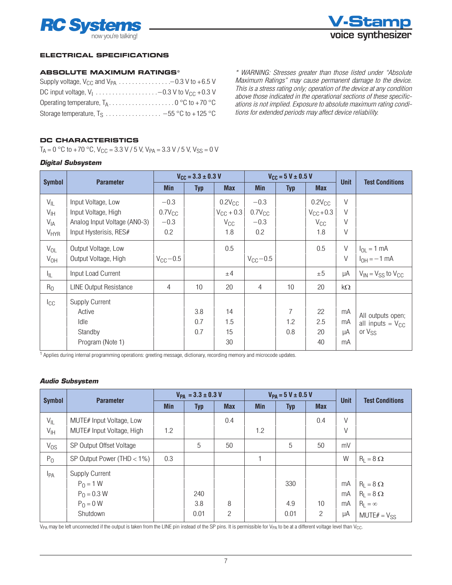



#### **Electrical Specifications**

#### **Absolute Maximum Ratings\***

| DC input voltage, $V_1$ -0.3 V to $V_{CC}$ +0.3 V |  |
|---------------------------------------------------|--|
|                                                   |  |
| Storage temperature, $T_S$ -55 °C to +125 °C      |  |

*\* WARNING: Stresses greater than those listed under "Absolute Maximum Ratings" may cause permanent damage to the device. This is a stress rating only; operation of the device at any condition above those indicated in the operational sections of these specifications is not implied. Exposure to absolute maximum rating conditions for extended periods may affect device reliability.*

#### **DC Characteristics**

 $T_A = 0$  °C to +70 °C,  $V_{CC} = 3.3$  V / 5 V, V<sub>PA</sub> = 3.3 V / 5 V, V<sub>SS</sub> = 0 V

#### *Digital Subsystem*

|                        |                               | $V_{\text{CC}} = 3.3 \pm 0.3 \text{ V}$ |            |                | $V_{CC}$ = 5 V ± 0.5 V |                |                    | <b>Unit</b> | <b>Test Conditions</b>        |
|------------------------|-------------------------------|-----------------------------------------|------------|----------------|------------------------|----------------|--------------------|-------------|-------------------------------|
| <b>Symbol</b>          | <b>Parameter</b>              | <b>Min</b>                              | <b>Typ</b> | <b>Max</b>     | <b>Min</b>             | <b>Typ</b>     |                    |             |                               |
| $V_{IL}$               | Input Voltage, Low            | $-0.3$                                  |            | $0.2V_{CC}$    | $-0.3$                 |                | $0.2V_{CC}$        | $\vee$      |                               |
| $V_{\text{IH}}$        | Input Voltage, High           | $0.7V_{CC}$                             |            | $V_{CC}$ + 0.3 | $0.7V_{CC}$            |                | $V_{\rm CC}$ + 0.3 | $\vee$      |                               |
| $V_{IA}$               | Analog Input Voltage (AN0-3)  | $-0.3$                                  |            | $V_{\rm CC}$   | $-0.3$                 |                | $V_{\rm CC}$       | $\vee$      |                               |
| <b>V<sub>HYR</sub></b> | Input Hysterisis, RES#        | 0.2                                     |            | 1.8            | 0.2                    |                | 1.8                | $\vee$      |                               |
| $V_{OL}$               | Output Voltage, Low           |                                         |            | 0.5            |                        |                | 0.5                | $\vee$      | $I_{OL} = 1$ mA               |
| $V_{OH}$               | Output Voltage, High          | $V_{\rm CC}$ - 0.5                      |            |                | $V_{\text{CC}}-0.5$    |                |                    | V           | $I_{OH} = -1$ mA              |
| ŀμ.                    | Input Load Current            |                                         |            | ±4             |                        |                | ±5                 | μA          | $V_{IN} = V_{SS}$ to $V_{CC}$ |
| R <sub>0</sub>         | <b>LINE Output Resistance</b> | $\overline{4}$                          | 10         | 20             | $\overline{4}$         | 10             | 20                 | kΩ          |                               |
| $I_{\rm CC}$           | <b>Supply Current</b>         |                                         |            |                |                        |                |                    |             |                               |
|                        | Active                        |                                         | 3.8        | 14             |                        | $\overline{7}$ | 22                 | mA          | All outputs open;             |
|                        | Idle                          |                                         | 0.7        | 1.5            |                        | 1.2            | 2.5                | mA          | all inputs = $V_{CC}$         |
|                        | Standby                       |                                         | 0.7        | 15             |                        | 0.8            | 20                 | μA          | or V <sub>SS</sub>            |
|                        | Program (Note 1)              |                                         |            | 30             |                        |                | 40                 | mA          |                               |

1 Applies during internal programming operations: greeting message, dictionary, recording memory and microcode updates.

#### *Audio Subsystem*

| <b>Symbol</b>               | <b>Parameter</b>                                      | $V_{PA} = 3.3 \pm 0.3 V$ |            |            | $V_{PA} = 5 V \pm 0.5 V$ |            |            | <b>Unit</b> | <b>Test Conditions</b> |
|-----------------------------|-------------------------------------------------------|--------------------------|------------|------------|--------------------------|------------|------------|-------------|------------------------|
|                             |                                                       | <b>Min</b>               | <b>Typ</b> | <b>Max</b> | <b>Min</b>               | <b>Typ</b> | <b>Max</b> |             |                        |
| $V_{IL}$<br>$V_{\text{IH}}$ | MUTE# Input Voltage, Low<br>MUTE# Input Voltage, High | 1.2                      |            | 0.4        | 1.2                      |            | 0.4        | V<br>V      |                        |
|                             |                                                       |                          |            |            |                          |            |            |             |                        |
| $V_{OS}$                    | SP Output Offset Voltage                              |                          | 5          | 50         |                          | 5          | 50         | mV          |                        |
| $P_{0}$                     | SP Output Power (THD $<$ 1%)                          | 0.3                      |            |            |                          |            |            | W           | $R_1 = 8 \Omega$       |
| <b>I</b> <sub>PA</sub>      | <b>Supply Current</b>                                 |                          |            |            |                          |            |            |             |                        |
|                             | $P_0 = 1 W$                                           |                          |            |            |                          | 330        |            | mA          | $R_{L} = 8 \Omega$     |
|                             | $P_0 = 0.3 W$                                         |                          | 240        |            |                          |            |            | mA          | $R_1 = 8 \Omega$       |
|                             | $P_0 = 0$ W                                           |                          | 3.8        | 8          |                          | 4.9        | 10         | mA          | $R_L = \infty$         |
|                             | Shutdown                                              |                          | 0.01       | 2          |                          | 0.01       | 2          | μA          | $MUTE# = V_{SS}$       |

 $V_{PA}$  may be left unconnected if the output is taken from the LINE pin instead of the SP pins. It is permissible for  $V_{PA}$  to be at a different voltage level than  $V_{CC}$ .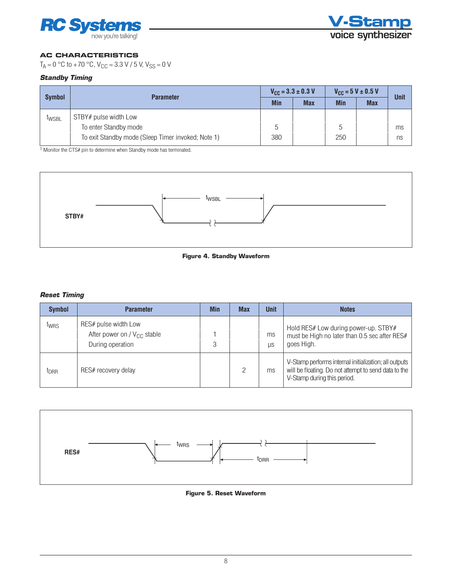



### **AC Characteristics**

 $T_A = 0$  °C to +70 °C,  $V_{CC} = 3.3$  V / 5 V,  $V_{SS} = 0$  V

#### *Standby Timing*

| <b>Symbol</b>     | <b>Parameter</b>                                                                                     | $V_{\text{CC}} = 3.3 \pm 0.3 \text{ V}$ |            | $V_{CG} = 5 V \pm 0.5 V$ |            | <b>Unit</b> |
|-------------------|------------------------------------------------------------------------------------------------------|-----------------------------------------|------------|--------------------------|------------|-------------|
|                   |                                                                                                      | <b>Min</b>                              | <b>Max</b> | <b>Min</b>               | <b>Max</b> |             |
| t <sub>WSBL</sub> | STBY# pulse width Low<br>To enter Standby mode<br>To exit Standby mode (Sleep Timer invoked; Note 1) | 5<br>380                                |            | 5<br>250                 |            | ms<br>ns    |

<sup>1</sup> Monitor the CTS# pin to determine when Standby mode has terminated.





#### *Reset Timing*

| <b>Symbol</b>    | <b>Parameter</b>                                                             | <b>Min</b> | <b>Max</b> | <b>Unit</b> | <b>Notes</b>                                                                                                                                 |
|------------------|------------------------------------------------------------------------------|------------|------------|-------------|----------------------------------------------------------------------------------------------------------------------------------------------|
| twrs             | RES# pulse width Low<br>After power on / $V_{CC}$ stable<br>During operation | 3          |            | ms<br>LIS   | Hold RES# Low during power-up. STBY#<br>must be High no later than 0.5 sec after RES#<br>goes High.                                          |
| t <sub>DRR</sub> | RES# recovery delay                                                          |            |            | ms          | V-Stamp performs internal initialization; all outputs<br>will be floating. Do not attempt to send data to the<br>V-Stamp during this period. |



**Figure 5. Reset Waveform**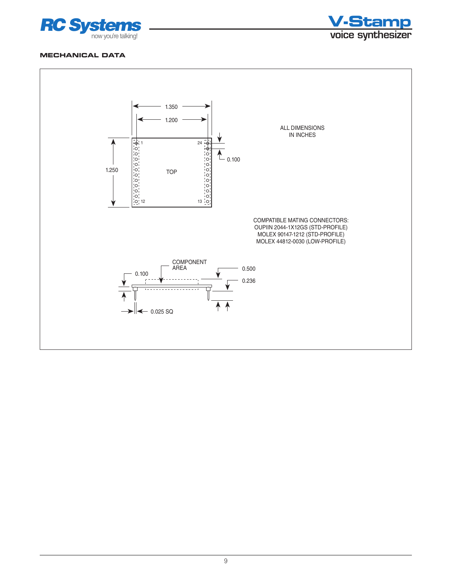



#### **Mechanical Data**

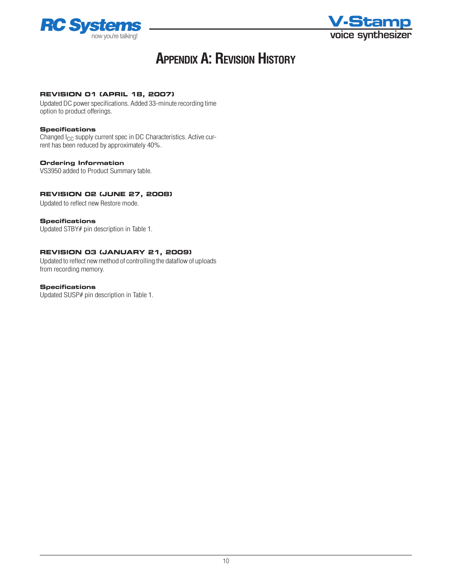



# **APPENDIX A: REVISION HISTORY**

#### **Revision 01 (April 18, 2007)**

Updated DC power specifications. Added 33-minute recording time option to product offerings.

#### **Specifications**

Changed I<sub>CC</sub> supply current spec in DC Characteristics. Active current has been reduced by approximately 40%.

#### **Ordering Information**

VS3950 added to Product Summary table.

#### **Revision 02 (June 27, 2008)**

Updated to reflect new Restore mode.

#### **Specifications**

Updated STBY# pin description in Table 1.

#### **Revision 03 (January 21, 2009)**

Updated to reflect new method of controlling the dataflow of uploads from recording memory.

#### **Specifications**

Updated SUSP# pin description in Table 1.